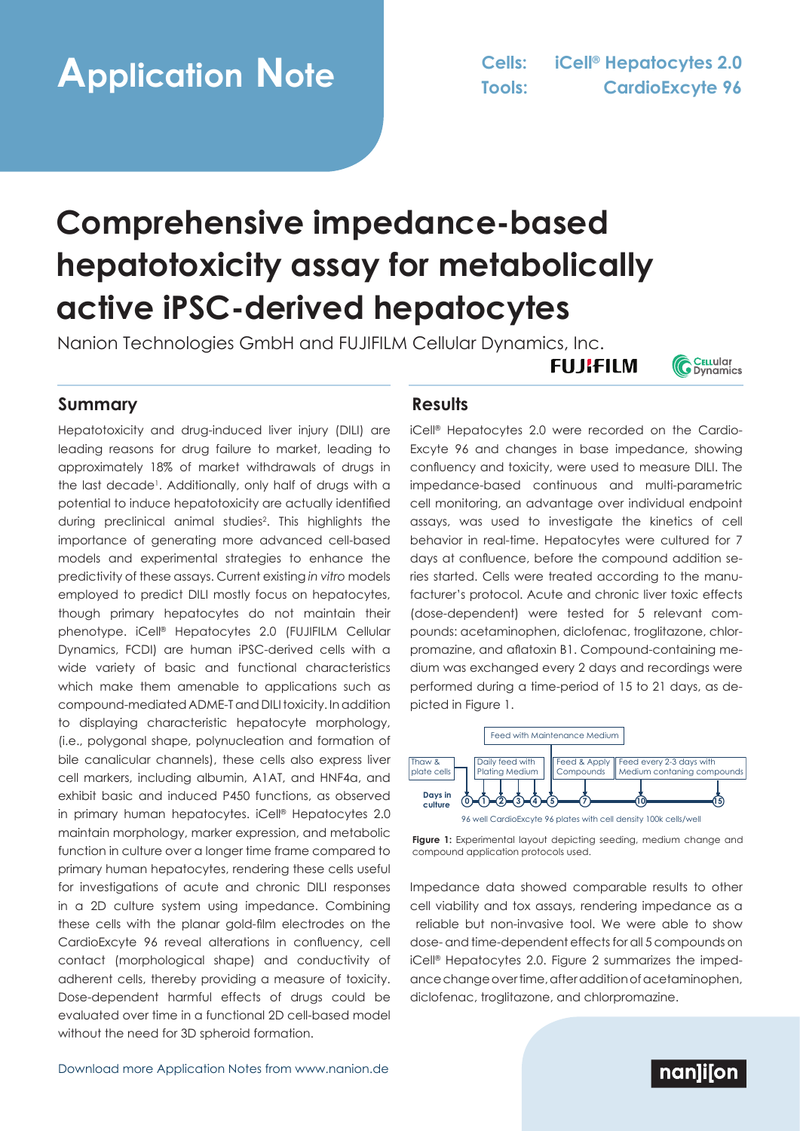# **Application Note Cells: iCell® Hepatocytes 2.0**

## **Comprehensive impedance-based hepatotoxicity assay for metabolically active iPSC-derived hepatocytes**

Nanion Technologies GmbH and FUJIFILM Cellular Dynamics, Inc.

### **Summary Results**

Hepatotoxicity and drug-induced liver injury (DILI) are leading reasons for drug failure to market, leading to approximately 18% of market withdrawals of drugs in the last decade<sup>1</sup>. Additionally, only half of drugs with a potential to induce hepatotoxicity are actually identified during preclinical animal studies2 . This highlights the importance of generating more advanced cell-based models and experimental strategies to enhance the predictivity of these assays. Current existing *in vitro* models employed to predict DILI mostly focus on hepatocytes, though primary hepatocytes do not maintain their phenotype. iCell® Hepatocytes 2.0 (FUJIFILM Cellular Dynamics, FCDI) are human iPSC-derived cells with a wide variety of basic and functional characteristics which make them amenable to applications such as compound-mediated ADME-T and DILI toxicity. In addition to displaying characteristic hepatocyte morphology, (i.e., polygonal shape, polynucleation and formation of bile canalicular channels), these cells also express liver cell markers, including albumin, A1AT, and HNF4a, and exhibit basic and induced P450 functions, as observed in primary human hepatocytes. iCell® Hepatocytes 2.0 maintain morphology, marker expression, and metabolic function in culture over a longer time frame compared to primary human hepatocytes, rendering these cells useful for investigations of acute and chronic DILI responses in a 2D culture system using impedance. Combining these cells with the planar gold-film electrodes on the CardioExcyte 96 reveal alterations in confluency, cell contact (morphological shape) and conductivity of adherent cells, thereby providing a measure of toxicity. Dose-dependent harmful effects of drugs could be evaluated over time in a functional 2D cell-based model without the need for 3D spheroid formation.

iCell® Hepatocytes 2.0 were recorded on the Cardio-Excyte 96 and changes in base impedance, showing confluency and toxicity, were used to measure DILI. The impedance-based continuous and multi-parametric cell monitoring, an advantage over individual endpoint assays, was used to investigate the kinetics of cell behavior in real-time. Hepatocytes were cultured for 7 days at confluence, before the compound addition series started. Cells were treated according to the manufacturer's protocol. Acute and chronic liver toxic effects (dose-dependent) were tested for 5 relevant compounds: acetaminophen, diclofenac, troglitazone, chlorpromazine, and aflatoxin B1. Compound-containing medium was exchanged every 2 days and recordings were performed during a time-period of 15 to 21 days, as depicted in Figure 1.

**FUJIFILM** 



Figure 1: Experimental layout depicting seeding, medium change and compound application protocols used.

Impedance data showed comparable results to other cell viability and tox assays, rendering impedance as a reliable but non-invasive tool. We were able to show dose- and time-dependent effects for all 5 compounds on iCell® Hepatocytes 2.0. Figure 2 summarizes the impedance change over time, after addition of acetaminophen, diclofenac, troglitazone, and chlorpromazine.

### nanlilon

**C** CELLUIGIT